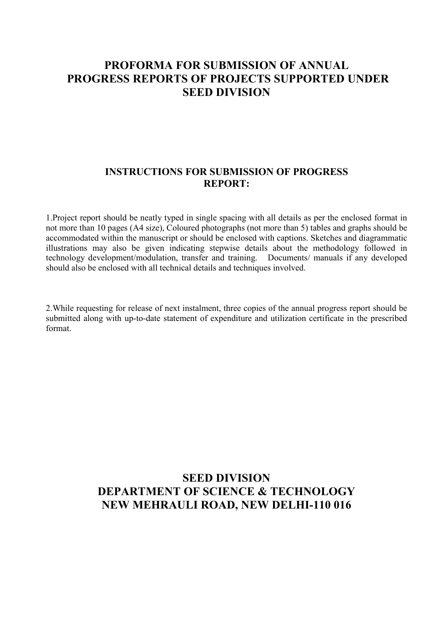### **PROFORMA FOR SUBMISSION OF ANNUAL PROGRESS REPORTS OF PROJECTS SUPPORTED UNDER SEED DIVISION**

#### **INSTRUCTIONS FOR SUBMISSION OF PROGRESS REPORT:**

1.Project report should be neatly typed in single spacing with all details as per the enclosed format in not more than 10 pages (A4 size), Coloured photographs (not more than 5) tables and graphs should be accommodated within the manuscript or should be enclosed with captions. Sketches and diagrammatic illustrations may also be given indicating stepwise details about the methodology followed in technology development/modulation, transfer and training. Documents/ manuals if any developed should also be enclosed with all technical details and techniques involved.

2.While requesting for release of next instalment, three copies of the annual progress report should be submitted along with up-to-date statement of expenditure and utilization certificate in the prescribed format.

## **SEED DIVISION DEPARTMENT OF SCIENCE & TECHNOLOGY NEW MEHRAULI ROAD, NEW DELHI-110 016**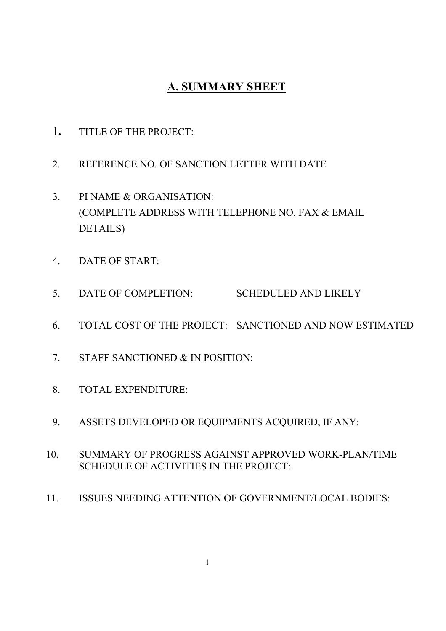# **A. SUMMARY SHEET**

- 1**.** TITLE OF THE PROJECT:
- 2. REFERENCE NO. OF SANCTION LETTER WITH DATE
- 3. PI NAME & ORGANISATION: (COMPLETE ADDRESS WITH TELEPHONE NO. FAX & EMAIL DETAILS)
- 4. DATE OF START:
- 5. DATE OF COMPLETION: SCHEDULED AND LIKELY
- 6. TOTAL COST OF THE PROJECT: SANCTIONED AND NOW ESTIMATED
- 7. STAFF SANCTIONED & IN POSITION:
- 8. TOTAL EXPENDITURE:
- 9. ASSETS DEVELOPED OR EQUIPMENTS ACQUIRED, IF ANY:
- 10. SUMMARY OF PROGRESS AGAINST APPROVED WORK-PLAN/TIME SCHEDULE OF ACTIVITIES IN THE PROJECT:
- 11. ISSUES NEEDING ATTENTION OF GOVERNMENT/LOCAL BODIES: